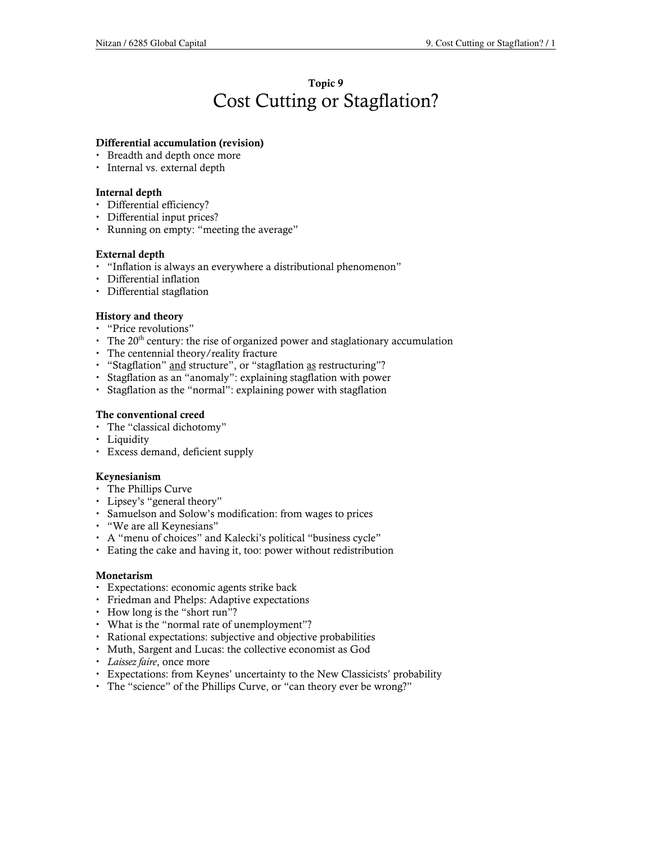# Topic 9 Cost Cutting or Stagflation?

### Differential accumulation (revision)

- Breadth and depth once more
- Internal vs. external depth

### Internal depth

- Differential efficiency?
- Differential input prices?
- Running on empty: "meeting the average"

### External depth

- "Inflation is always an everywhere a distributional phenomenon"
- Differential inflation
- Differential stagflation

### History and theory

- "Price revolutions"
- $\cdot$  The 20<sup>th</sup> century: the rise of organized power and staglationary accumulation
- The centennial theory/reality fracture
- "Stagflation" and structure", or "stagflation as restructuring"?
- Stagflation as an "anomaly": explaining stagflation with power
- Stagflation as the "normal": explaining power with stagflation

### The conventional creed

- The "classical dichotomy"
- Liquidity
- Excess demand, deficient supply

### Keynesianism

- The Phillips Curve
- Lipsey's "general theory"
- Samuelson and Solow's modification: from wages to prices
- "We are all Keynesians"
- A "menu of choices" and Kalecki's political "business cycle"
- Eating the cake and having it, too: power without redistribution

### Monetarism

- Expectations: economic agents strike back
- Friedman and Phelps: Adaptive expectations
- How long is the "short run"?
- What is the "normal rate of unemployment"?
- Rational expectations: subjective and objective probabilities
- Muth, Sargent and Lucas: the collective economist as God
- Laissez faire, once more
- Expectations: from Keynes' uncertainty to the New Classicists' probability
- The "science" of the Phillips Curve, or "can theory ever be wrong?"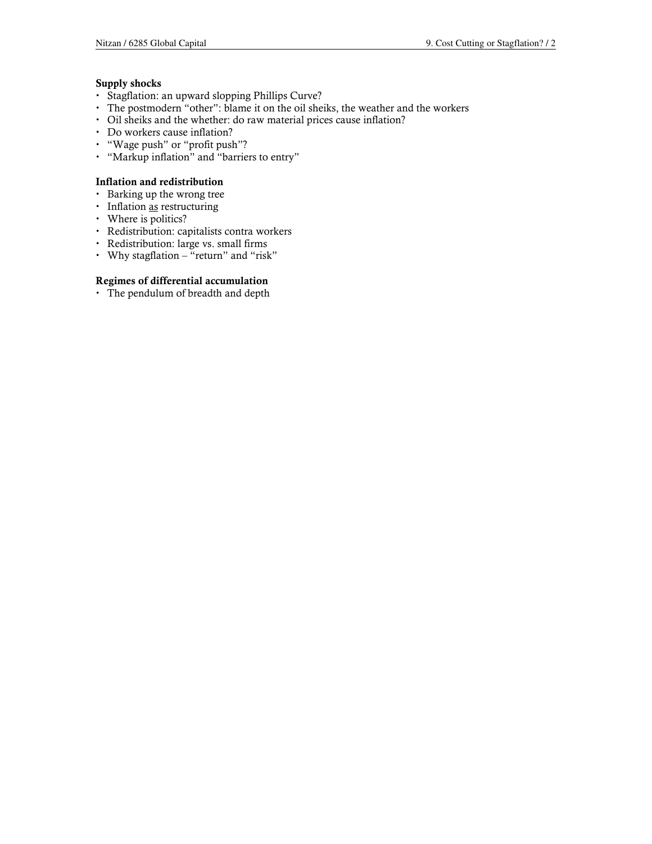### Supply shocks

- Stagflation: an upward slopping Phillips Curve?
- The postmodern "other": blame it on the oil sheiks, the weather and the workers
- Oil sheiks and the whether: do raw material prices cause inflation?
- Do workers cause inflation?
- "Wage push" or "profit push"?
- "Markup inflation" and "barriers to entry"

### Inflation and redistribution

- Barking up the wrong tree
- Inflation as restructuring
- Where is politics?
- Redistribution: capitalists contra workers
- Redistribution: large vs. small firms
- Why stagflation "return" and "risk"

### Regimes of differential accumulation

The pendulum of breadth and depth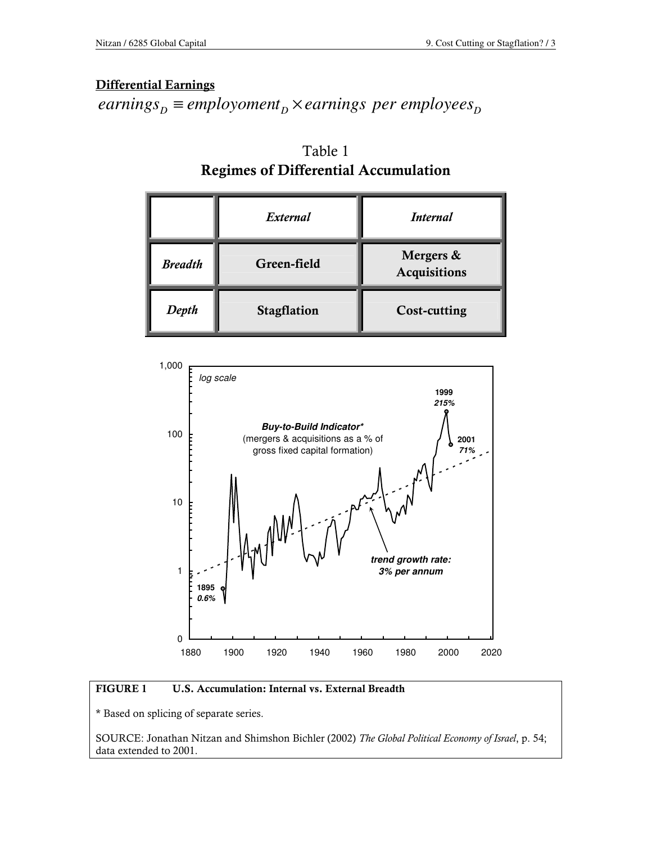# Differential Earnings

 $\mathit{earnings}_{\mathit{D}} \equiv \mathit{emptyom}$  *D*  $\mathit{b}$   $\times$  *earnings*  $\mathit{per\ env}$  *employees*<sub> $\mathit{D}$ </sub>

|                | External    | <i>Internal</i>                  |
|----------------|-------------|----------------------------------|
| <b>Breadth</b> | Green-field | Mergers &<br><b>Acquisitions</b> |
| Depth          | Stagflation | <b>Cost-cutting</b>              |



### FIGURE 1 U.S. Accumulation: Internal vs. External Breadth

\* Based on splicing of separate series.

SOURCE: Jonathan Nitzan and Shimshon Bichler (2002) The Global Political Economy of Israel, p. 54; data extended to 2001.

Table 1 Regimes of Differential Accumulation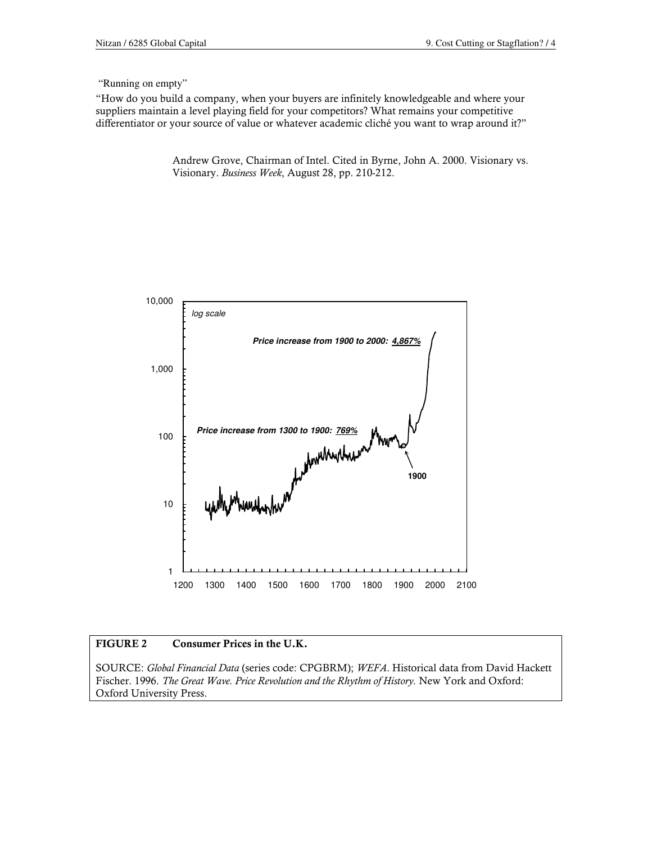"Running on empty"

"How do you build a company, when your buyers are infinitely knowledgeable and where your suppliers maintain a level playing field for your competitors? What remains your competitive differentiator or your source of value or whatever academic cliché you want to wrap around it?"

> Andrew Grove, Chairman of Intel. Cited in Byrne, John A. 2000. Visionary vs. Visionary. Business Week, August 28, pp. 210-212.



### FIGURE 2 Consumer Prices in the U.K.

SOURCE: Global Financial Data (series code: CPGBRM); WEFA. Historical data from David Hackett Fischer. 1996. The Great Wave. Price Revolution and the Rhythm of History. New York and Oxford: Oxford University Press.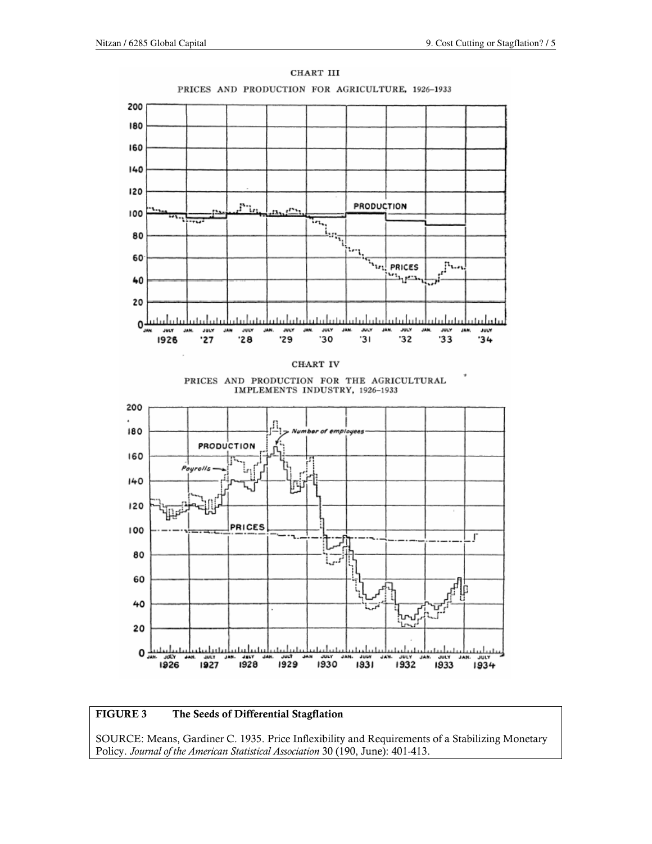

### FIGURE 3 The Seeds of Differential Stagflation

SOURCE: Means, Gardiner C. 1935. Price Inflexibility and Requirements of a Stabilizing Monetary Policy. Journal of the American Statistical Association 30 (190, June): 401-413.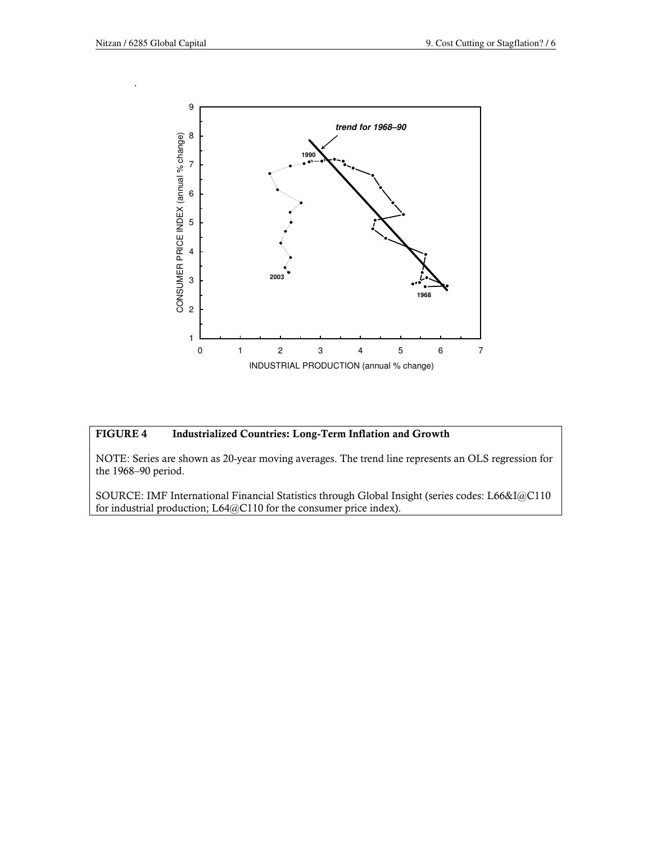.



### FIGURE 4 Industrialized Countries: Long-Term Inflation and Growth

NOTE: Series are shown as 20-year moving averages. The trend line represents an OLS regression for the 1968–90 period.

SOURCE: IMF International Financial Statistics through Global Insight (series codes: L66&I@C110 for industrial production; L64@C110 for the consumer price index).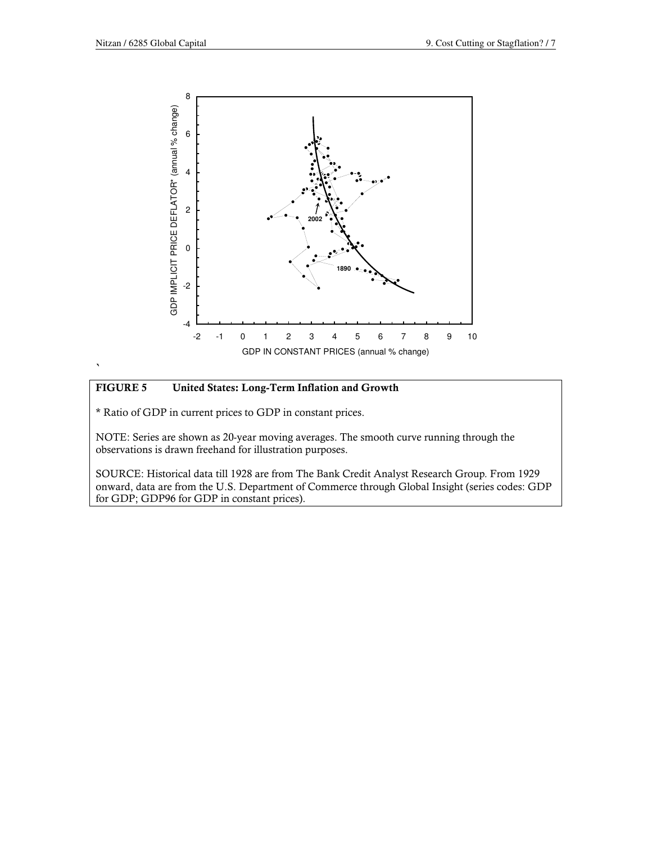

`

### FIGURE 5 United States: Long-Term Inflation and Growth

\* Ratio of GDP in current prices to GDP in constant prices.

NOTE: Series are shown as 20-year moving averages. The smooth curve running through the observations is drawn freehand for illustration purposes.

SOURCE: Historical data till 1928 are from The Bank Credit Analyst Research Group. From 1929 onward, data are from the U.S. Department of Commerce through Global Insight (series codes: GDP for GDP; GDP96 for GDP in constant prices).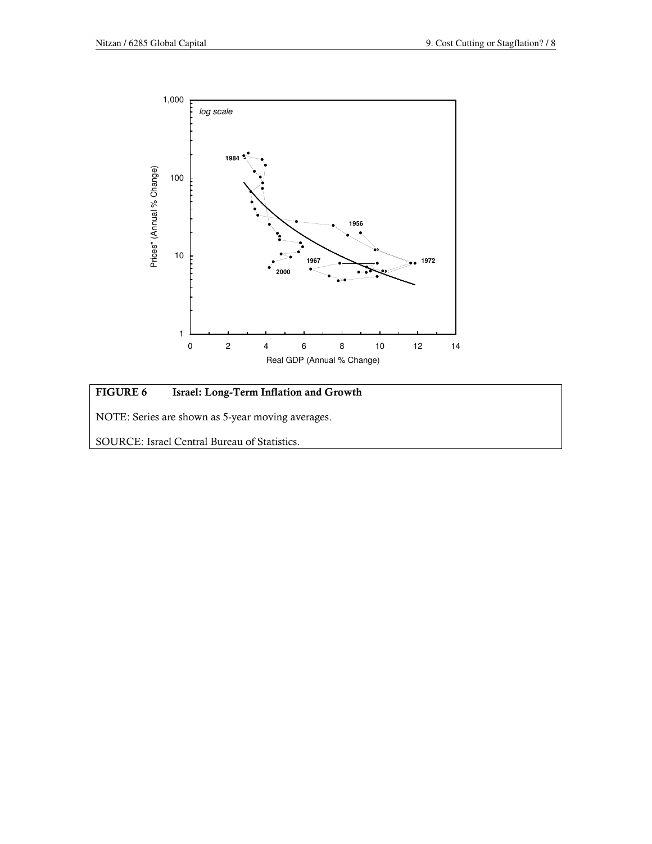

# FIGURE 6 Israel: Long-Term Inflation and Growth NOTE: Series are shown as 5-year moving averages. SOURCE: Israel Central Bureau of Statistics.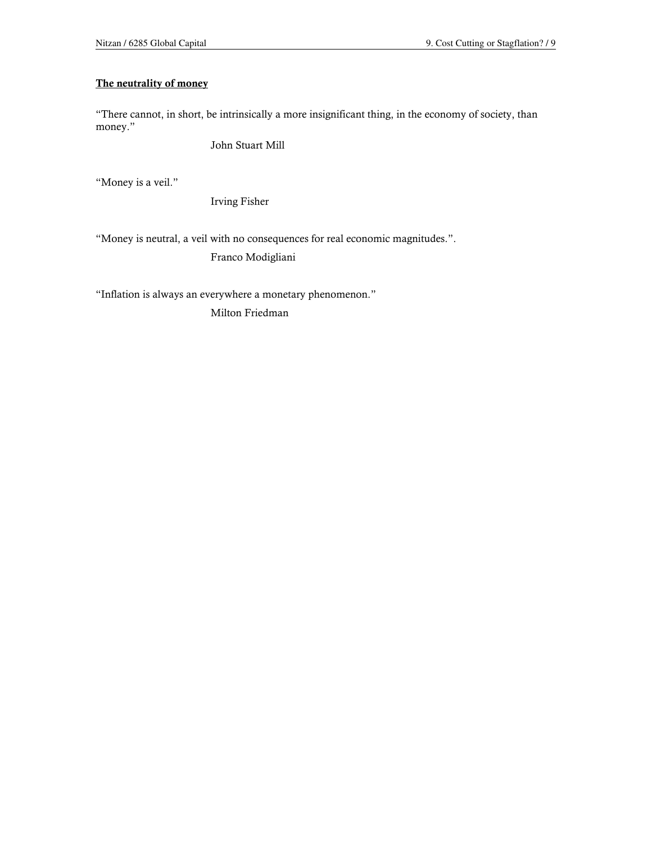### The neutrality of money

"There cannot, in short, be intrinsically a more insignificant thing, in the economy of society, than money."

John Stuart Mill

"Money is a veil."

Irving Fisher

"Money is neutral, a veil with no consequences for real economic magnitudes.".

Franco Modigliani

"Inflation is always an everywhere a monetary phenomenon."

Milton Friedman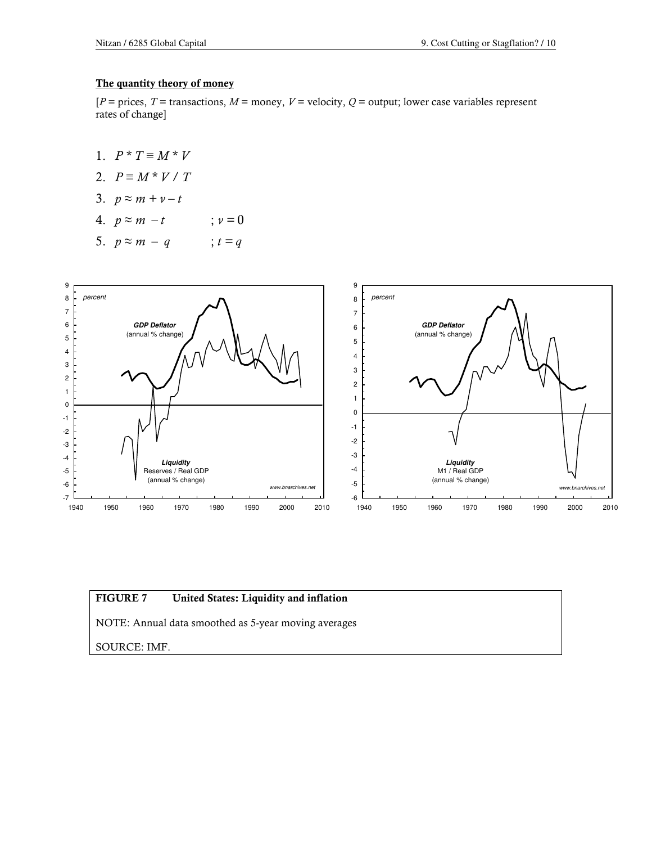### The quantity theory of money

 $[P = \text{prices}, T = \text{transactions}, M = \text{money}, V = \text{velocity}, Q = \text{output}; \text{lower case variables represent}$ rates of change]

- 1.  $P * T \equiv M * V$
- 2.  $P \equiv M * V / T$
- 3.  $p \approx m + v t$

4. 
$$
p \approx m - t
$$
  $\qquad ; v = 0$ 

$$
5. \quad p \approx m - q \qquad ; t = q
$$



### FIGURE 7 United States: Liquidity and inflation

NOTE: Annual data smoothed as 5-year moving averages

SOURCE: IMF.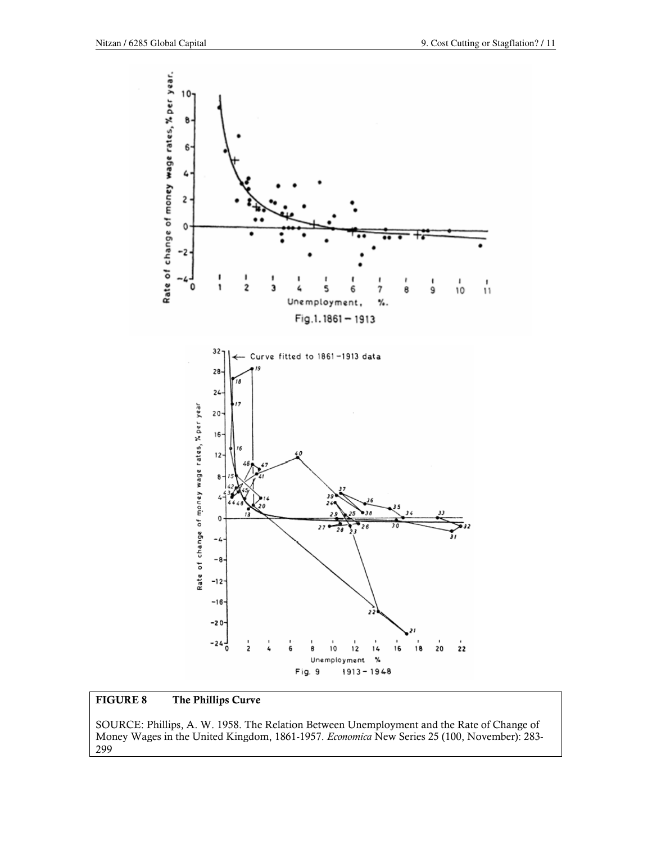

### FIGURE 8 The Phillips Curve

SOURCE: Phillips, A. W. 1958. The Relation Between Unemployment and the Rate of Change of Money Wages in the United Kingdom, 1861-1957. Economica New Series 25 (100, November): 283- 299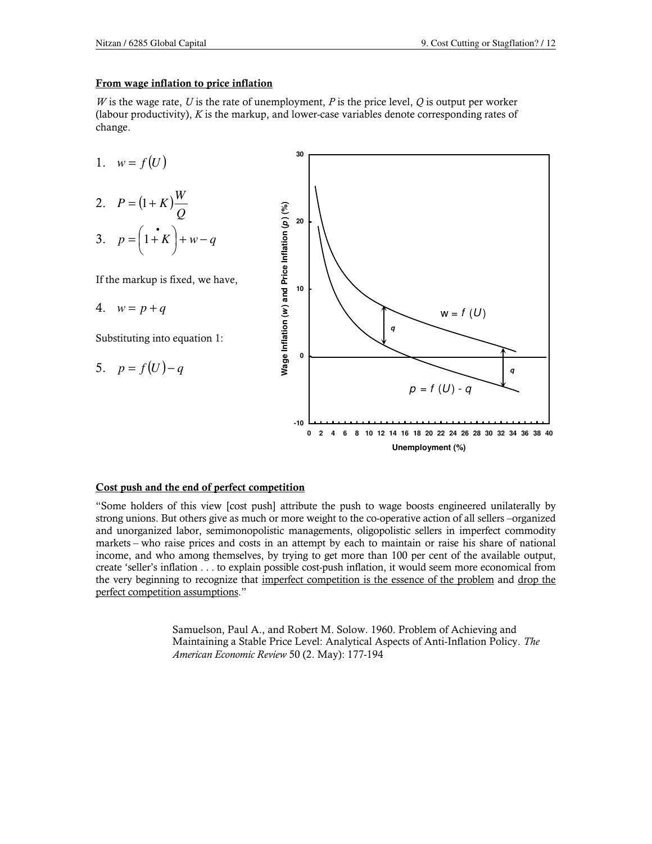#### From wage inflation to price inflation

W is the wage rate, U is the rate of unemployment, P is the price level, Q is output per worker (labour productivity),  $K$  is the markup, and lower-case variables denote corresponding rates of change.



#### Cost push and the end of perfect competition

"Some holders of this view [cost push] attribute the push to wage boosts engineered unilaterally by strong unions. But others give as much or more weight to the co-operative action of all sellers –organized and unorganized labor, semimonopolistic managements, oligopolistic sellers in imperfect commodity markets – who raise prices and costs in an attempt by each to maintain or raise his share of national income, and who among themselves, by trying to get more than 100 per cent of the available output, create 'seller's inflation . . . to explain possible cost-push inflation, it would seem more economical from the very beginning to recognize that imperfect competition is the essence of the problem and drop the perfect competition assumptions."

> Samuelson, Paul A., and Robert M. Solow. 1960. Problem of Achieving and Maintaining a Stable Price Level: Analytical Aspects of Anti-Inflation Policy. The American Economic Review 50 (2. May): 177-194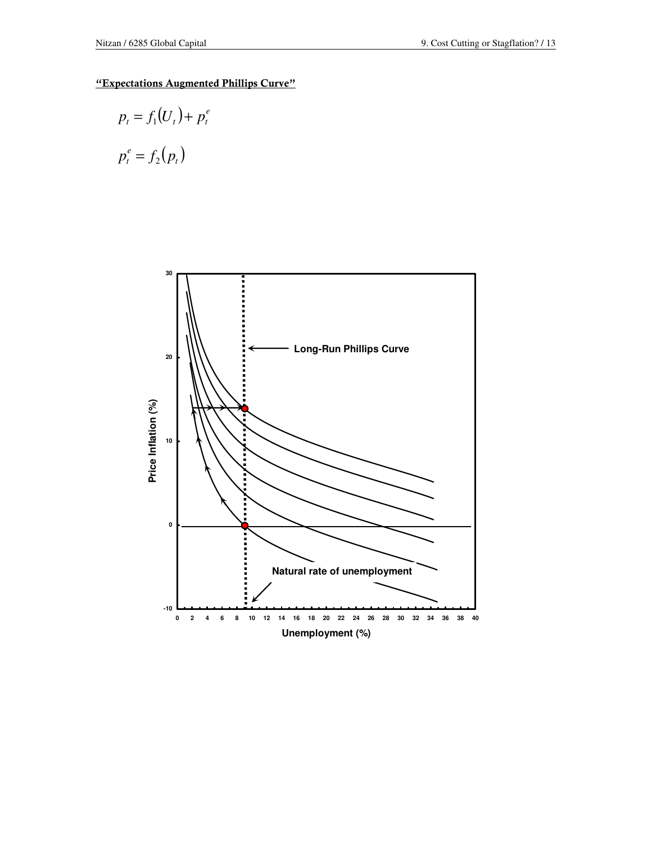### "Expectations Augmented Phillips Curve"

$$
p_t = f_1(U_t) + p_t^e
$$
  

$$
p_t^e = f_2(p_t)
$$

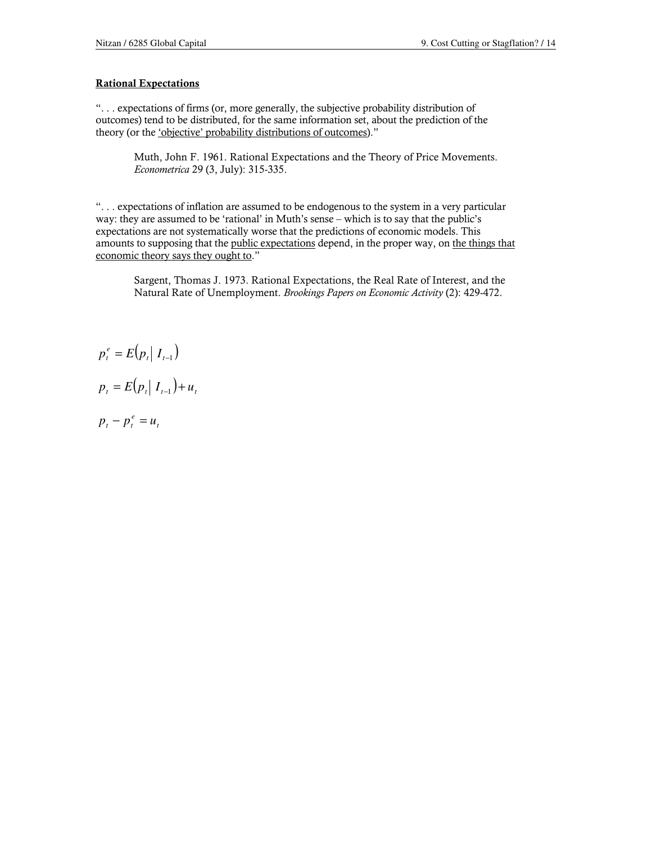### Rational Expectations

". . . expectations of firms (or, more generally, the subjective probability distribution of outcomes) tend to be distributed, for the same information set, about the prediction of the theory (or the 'objective' probability distributions of outcomes)."

Muth, John F. 1961. Rational Expectations and the Theory of Price Movements. Econometrica 29 (3, July): 315-335.

". . . expectations of inflation are assumed to be endogenous to the system in a very particular way: they are assumed to be 'rational' in Muth's sense – which is to say that the public's expectations are not systematically worse that the predictions of economic models. This amounts to supposing that the public expectations depend, in the proper way, on the things that economic theory says they ought to."

Sargent, Thomas J. 1973. Rational Expectations, the Real Rate of Interest, and the Natural Rate of Unemployment. Brookings Papers on Economic Activity (2): 429-472.

$$
p_t^e = E(p_t | I_{t-1})
$$
  

$$
p_t = E(p_t | I_{t-1}) + u_t
$$

$$
p_t - p_t^e = u_t
$$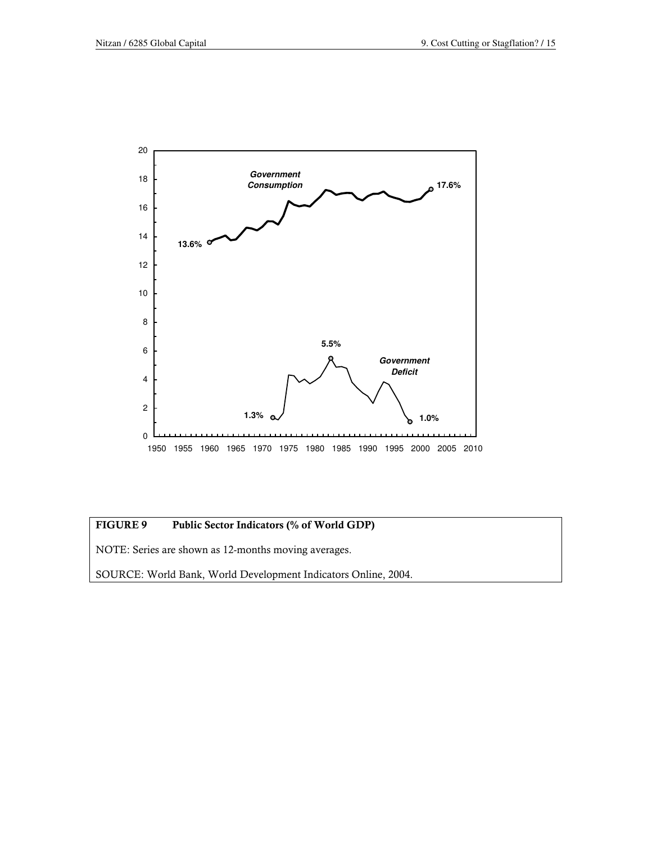

### FIGURE 9 Public Sector Indicators (% of World GDP)

NOTE: Series are shown as 12-months moving averages.

SOURCE: World Bank, World Development Indicators Online, 2004.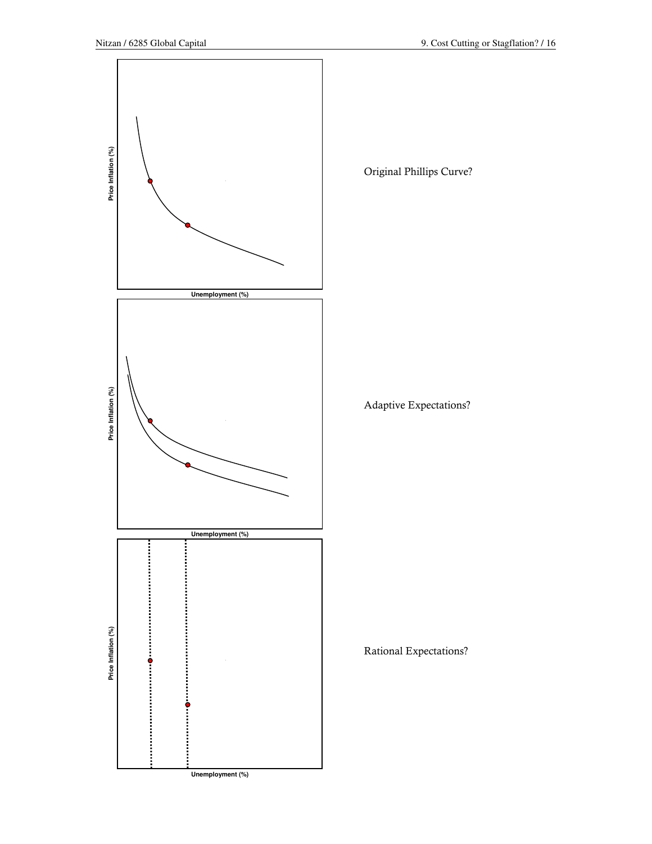

Original Phillips Curve?

Adaptive Expectations?

Rational Expectations?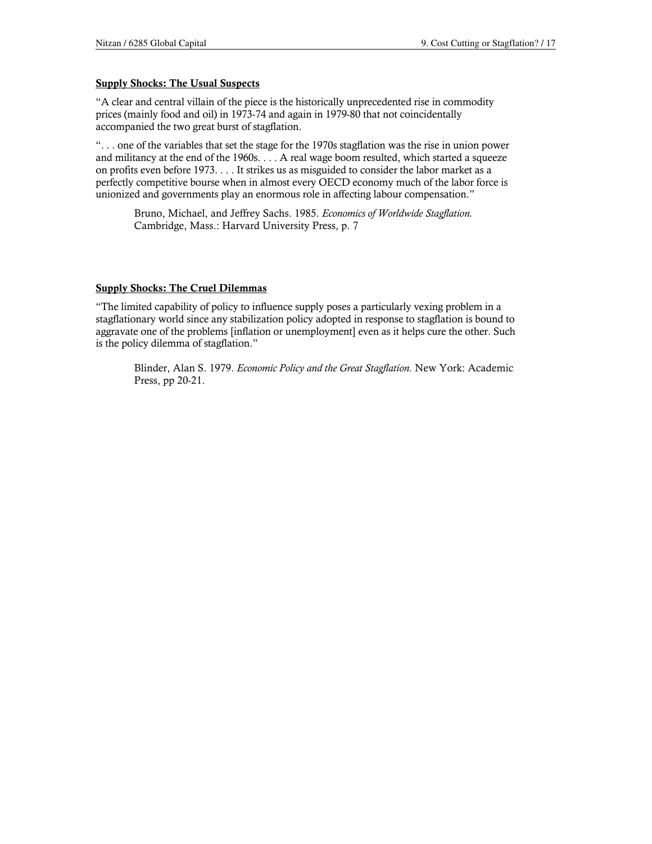#### Supply Shocks: The Usual Suspects

"A clear and central villain of the piece is the historically unprecedented rise in commodity prices (mainly food and oil) in 1973-74 and again in 1979-80 that not coincidentally accompanied the two great burst of stagflation.

". . . one of the variables that set the stage for the 1970s stagflation was the rise in union power and militancy at the end of the 1960s. . . . A real wage boom resulted, which started a squeeze on profits even before 1973. . . . It strikes us as misguided to consider the labor market as a perfectly competitive bourse when in almost every OECD economy much of the labor force is unionized and governments play an enormous role in affecting labour compensation."

Bruno, Michael, and Jeffrey Sachs. 1985. Economics of Worldwide Stagflation. Cambridge, Mass.: Harvard University Press, p. 7

#### Supply Shocks: The Cruel Dilemmas

"The limited capability of policy to influence supply poses a particularly vexing problem in a stagflationary world since any stabilization policy adopted in response to stagflation is bound to aggravate one of the problems [inflation or unemployment] even as it helps cure the other. Such is the policy dilemma of stagflation."

Blinder, Alan S. 1979. Economic Policy and the Great Stagflation. New York: Academic Press, pp 20-21.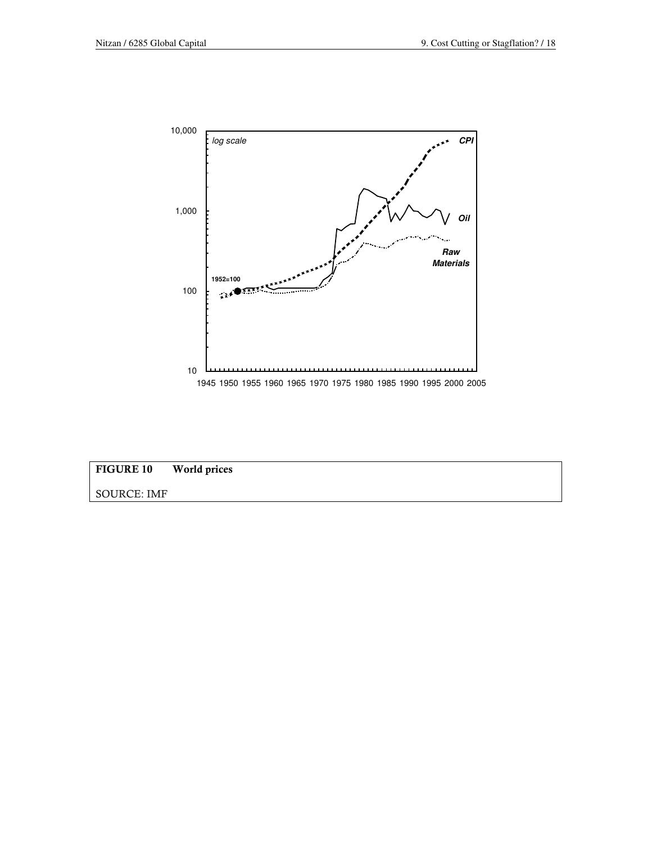



SOURCE: IMF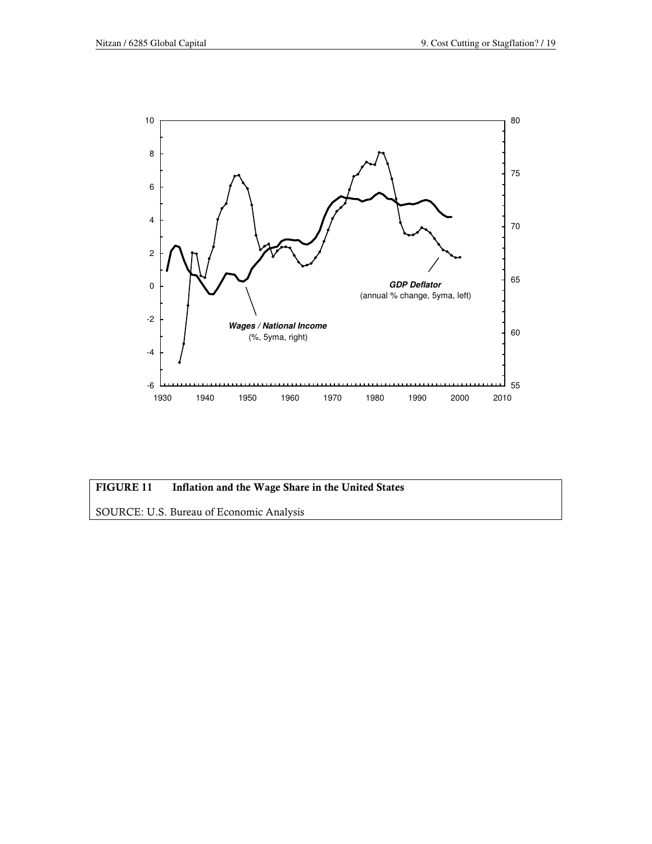

### FIGURE 11 Inflation and the Wage Share in the United States

SOURCE: U.S. Bureau of Economic Analysis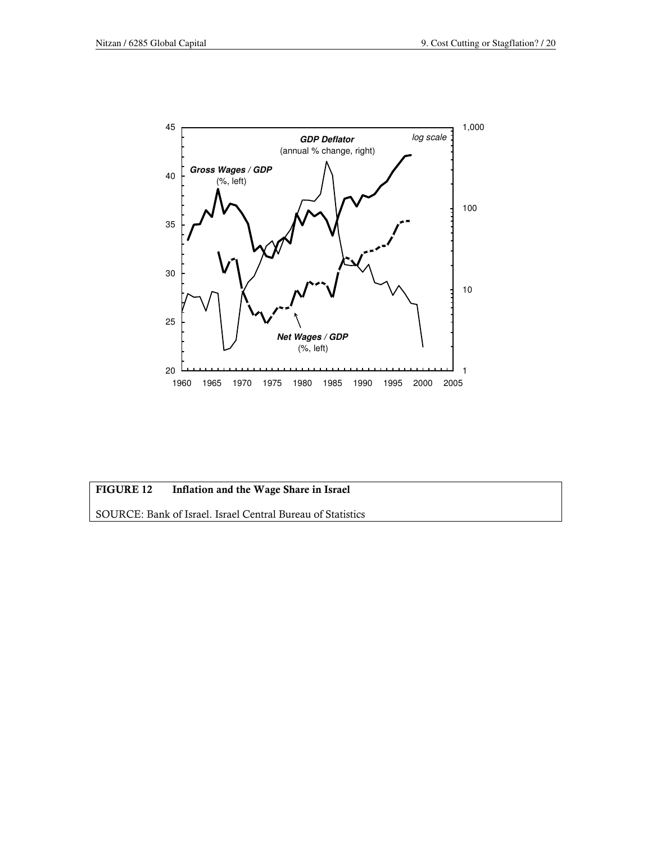

## FIGURE 12 Inflation and the Wage Share in Israel

SOURCE: Bank of Israel. Israel Central Bureau of Statistics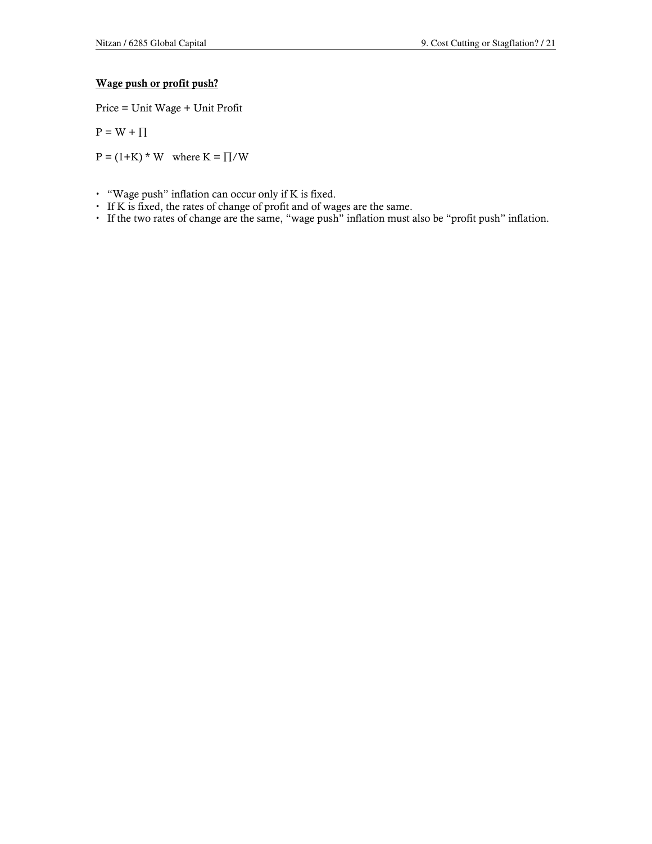### Wage push or profit push?

Price = Unit Wage + Unit Profit

$$
P = W + \Pi
$$

 $P = (1+K) * W$  where  $K = \prod/W$ 

- $\cdot$  "Wage push" inflation can occur only if K is fixed.
- If K is fixed, the rates of change of profit and of wages are the same.
- If the two rates of change are the same, "wage push" inflation must also be "profit push" inflation.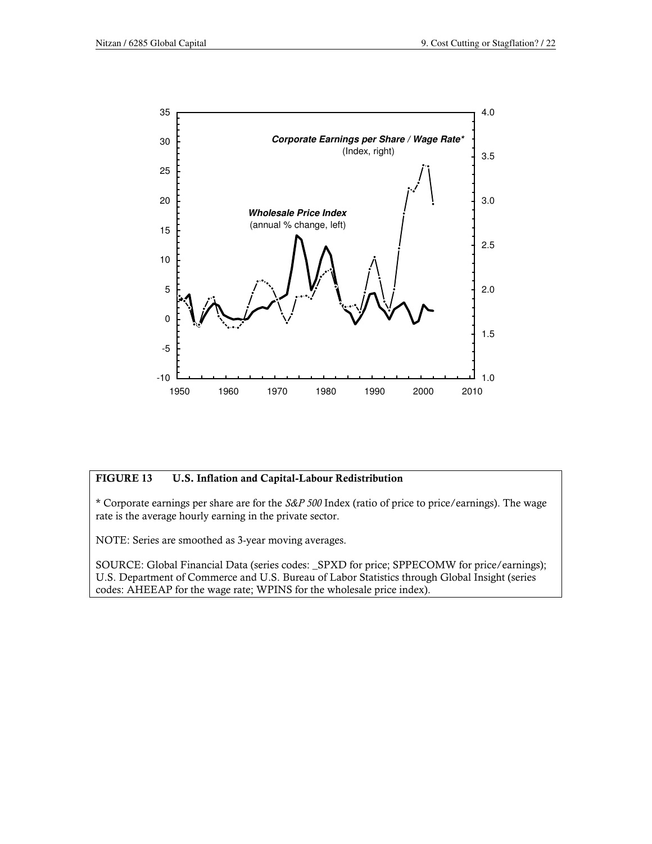

### FIGURE 13 U.S. Inflation and Capital-Labour Redistribution

\* Corporate earnings per share are for the S&P 500 Index (ratio of price to price/earnings). The wage rate is the average hourly earning in the private sector.

NOTE: Series are smoothed as 3-year moving averages.

SOURCE: Global Financial Data (series codes: \_SPXD for price; SPPECOMW for price/earnings); U.S. Department of Commerce and U.S. Bureau of Labor Statistics through Global Insight (series codes: AHEEAP for the wage rate; WPINS for the wholesale price index).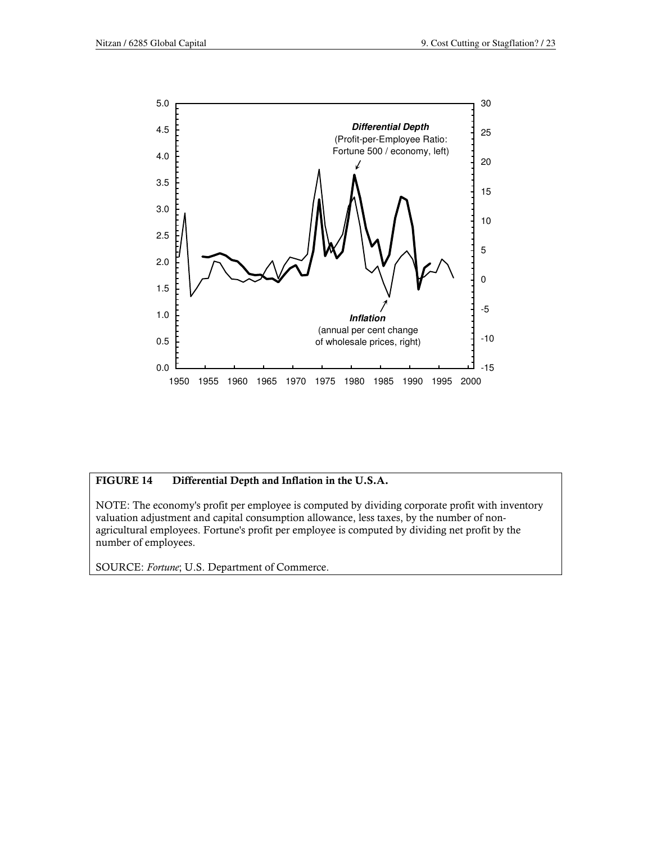

### FIGURE 14 Differential Depth and Inflation in the U.S.A.

NOTE: The economy's profit per employee is computed by dividing corporate profit with inventory valuation adjustment and capital consumption allowance, less taxes, by the number of nonagricultural employees. Fortune's profit per employee is computed by dividing net profit by the number of employees.

SOURCE: Fortune; U.S. Department of Commerce.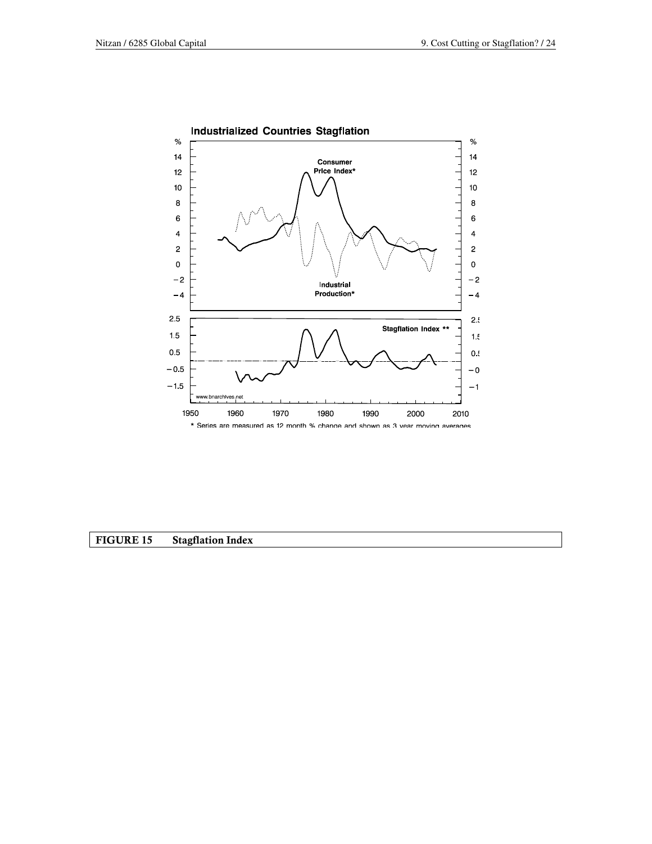

### FIGURE 15 Stagflation Index